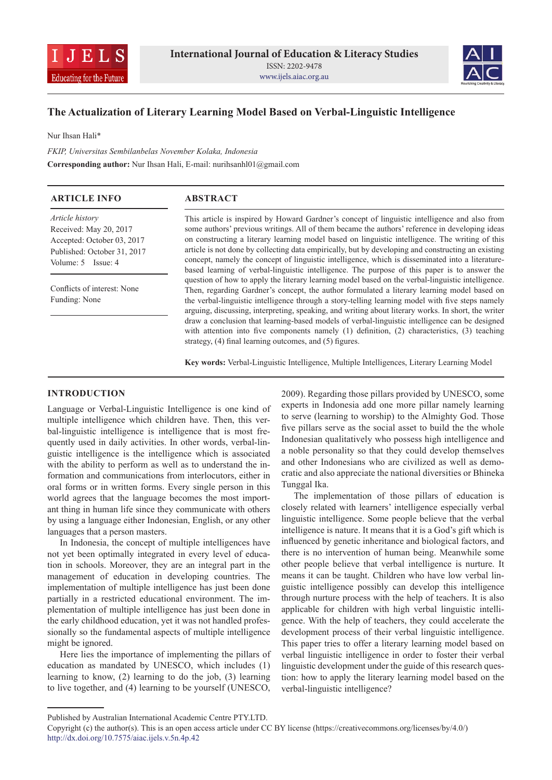



# **The Actualization of Literary Learning Model Based on Verbal-Linguistic Intelligence**

Nur Ihsan Hali\*

*FKIP, Universitas Sembilanbelas November Kolaka, Indonesia* **Corresponding author:** Nur Ihsan Hali, E-mail: nurihsanhl01@gmail.com

| <b>ARTICLE INFO</b>                                                                                                              | <b>ABSTRACT</b>                                                                                                                                                                                                                                                                                                                                                                                                                                                                                                                                                                                                                                                                                                                                                                                                                                                                                                                                                                                                                                                                                                                                                                                                                                                                          |
|----------------------------------------------------------------------------------------------------------------------------------|------------------------------------------------------------------------------------------------------------------------------------------------------------------------------------------------------------------------------------------------------------------------------------------------------------------------------------------------------------------------------------------------------------------------------------------------------------------------------------------------------------------------------------------------------------------------------------------------------------------------------------------------------------------------------------------------------------------------------------------------------------------------------------------------------------------------------------------------------------------------------------------------------------------------------------------------------------------------------------------------------------------------------------------------------------------------------------------------------------------------------------------------------------------------------------------------------------------------------------------------------------------------------------------|
| Article history<br>Received: May 20, 2017<br>Accepted: October 03, 2017<br>Published: October 31, 2017<br>Volume: $5$ Issue: $4$ | This article is inspired by Howard Gardner's concept of linguistic intelligence and also from<br>some authors' previous writings. All of them became the authors' reference in developing ideas<br>on constructing a literary learning model based on linguistic intelligence. The writing of this<br>article is not done by collecting data empirically, but by developing and constructing an existing<br>concept, namely the concept of linguistic intelligence, which is disseminated into a literature-<br>based learning of verbal-linguistic intelligence. The purpose of this paper is to answer the<br>question of how to apply the literary learning model based on the verbal-linguistic intelligence.<br>Then, regarding Gardner's concept, the author formulated a literary learning model based on<br>the verbal-linguistic intelligence through a story-telling learning model with five steps namely<br>arguing, discussing, interpreting, speaking, and writing about literary works. In short, the writer<br>draw a conclusion that learning-based models of verbal-linguistic intelligence can be designed<br>with attention into five components namely (1) definition, (2) characteristics, (3) teaching<br>strategy, (4) final learning outcomes, and (5) figures. |
| Conflicts of interest: None<br>Funding: None                                                                                     |                                                                                                                                                                                                                                                                                                                                                                                                                                                                                                                                                                                                                                                                                                                                                                                                                                                                                                                                                                                                                                                                                                                                                                                                                                                                                          |

**Key words:** Verbal-Linguistic Intelligence, Multiple Intelligences, Literary Learning Model

## **INTRODUCTION**

Language or Verbal-Linguistic Intelligence is one kind of multiple intelligence which children have. Then, this verbal-linguistic intelligence is intelligence that is most frequently used in daily activities. In other words, verbal-linguistic intelligence is the intelligence which is associated with the ability to perform as well as to understand the information and communications from interlocutors, either in oral forms or in written forms. Every single person in this world agrees that the language becomes the most important thing in human life since they communicate with others by using a language either Indonesian, English, or any other languages that a person masters.

In Indonesia, the concept of multiple intelligences have not yet been optimally integrated in every level of education in schools. Moreover, they are an integral part in the management of education in developing countries. The implementation of multiple intelligence has just been done partially in a restricted educational environment. The implementation of multiple intelligence has just been done in the early childhood education, yet it was not handled professionally so the fundamental aspects of multiple intelligence might be ignored.

Here lies the importance of implementing the pillars of education as mandated by UNESCO, which includes (1) learning to know, (2) learning to do the job, (3) learning to live together, and (4) learning to be yourself (UNESCO, 2009). Regarding those pillars provided by UNESCO, some experts in Indonesia add one more pillar namely learning to serve (learning to worship) to the Almighty God. Those five pillars serve as the social asset to build the the whole Indonesian qualitatively who possess high intelligence and a noble personality so that they could develop themselves and other Indonesians who are civilized as well as democratic and also appreciate the national diversities or Bhineka Tunggal Ika.

The implementation of those pillars of education is closely related with learners' intelligence especially verbal linguistic intelligence. Some people believe that the verbal intelligence is nature. It means that it is a God's gift which is influenced by genetic inheritance and biological factors, and there is no intervention of human being. Meanwhile some other people believe that verbal intelligence is nurture. It means it can be taught. Children who have low verbal linguistic intelligence possibly can develop this intelligence through nurture process with the help of teachers. It is also applicable for children with high verbal linguistic intelligence. With the help of teachers, they could accelerate the development process of their verbal linguistic intelligence. This paper tries to offer a literary learning model based on verbal linguistic intelligence in order to foster their verbal linguistic development under the guide of this research question: how to apply the literary learning model based on the verbal-linguistic intelligence?

Published by Australian International Academic Centre PTY.LTD.

Copyright (c) the author(s). This is an open access article under CC BY license (https://creativecommons.org/licenses/by/4.0/) http://dx.doi.org/10.7575/aiac.ijels.v.5n.4p.42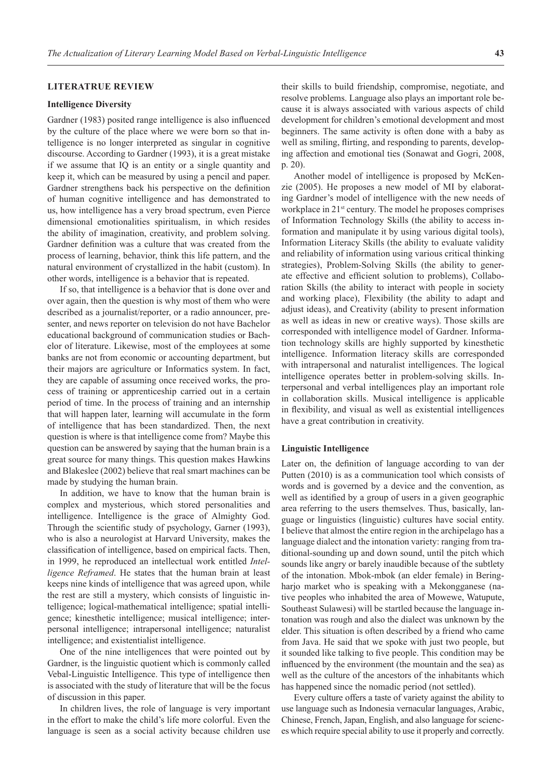### **LITERATRUE REVIEW**

#### **Intelligence Diversity**

Gardner (1983) posited range intelligence is also influenced by the culture of the place where we were born so that intelligence is no longer interpreted as singular in cognitive discourse. According to Gardner (1993), it is a great mistake if we assume that IQ is an entity or a single quantity and keep it, which can be measured by using a pencil and paper. Gardner strengthens back his perspective on the definition of human cognitive intelligence and has demonstrated to us, how intelligence has a very broad spectrum, even Pierce dimensional emotionalities spiritualism, in which resides the ability of imagination, creativity, and problem solving. Gardner definition was a culture that was created from the process of learning, behavior, think this life pattern, and the natural environment of crystallized in the habit (custom). In other words, intelligence is a behavior that is repeated.

If so, that intelligence is a behavior that is done over and over again, then the question is why most of them who were described as a journalist/reporter, or a radio announcer, presenter, and news reporter on television do not have Bachelor educational background of communication studies or Bachelor of literature. Likewise, most of the employees at some banks are not from economic or accounting department, but their majors are agriculture or Informatics system. In fact, they are capable of assuming once received works, the process of training or apprenticeship carried out in a certain period of time. In the process of training and an internship that will happen later, learning will accumulate in the form of intelligence that has been standardized. Then, the next question is where is that intelligence come from? Maybe this question can be answered by saying that the human brain is a great source for many things. This question makes Hawkins and Blakeslee (2002) believe that real smart machines can be made by studying the human brain.

In addition, we have to know that the human brain is complex and mysterious, which stored personalities and intelligence. Intelligence is the grace of Almighty God. Through the scientific study of psychology, Garner (1993), who is also a neurologist at Harvard University, makes the classification of intelligence, based on empirical facts. Then, in 1999, he reproduced an intellectual work entitled *Intelligence Reframed*. He states that the human brain at least keeps nine kinds of intelligence that was agreed upon, while the rest are still a mystery, which consists of linguistic intelligence; logical-mathematical intelligence; spatial intelligence; kinesthetic intelligence; musical intelligence; interpersonal intelligence; intrapersonal intelligence; naturalist intelligence; and existentialist intelligence.

One of the nine intelligences that were pointed out by Gardner, is the linguistic quotient which is commonly called Vebal-Linguistic Intelligence. This type of intelligence then is associated with the study of literature that will be the focus of discussion in this paper.

In children lives, the role of language is very important in the effort to make the child's life more colorful. Even the language is seen as a social activity because children use

their skills to build friendship, compromise, negotiate, and resolve problems. Language also plays an important role because it is always associated with various aspects of child development for children's emotional development and most beginners. The same activity is often done with a baby as well as smiling, flirting, and responding to parents, developing affection and emotional ties (Sonawat and Gogri, 2008, p. 20).

Another model of intelligence is proposed by McKenzie (2005). He proposes a new model of MI by elaborating Gardner's model of intelligence with the new needs of workplace in 21<sup>st</sup> century. The model he proposes comprises of Information Technology Skills (the ability to access information and manipulate it by using various digital tools), Information Literacy Skills (the ability to evaluate validity and reliability of information using various critical thinking strategies), Problem-Solving Skills (the ability to generate effective and efficient solution to problems), Collaboration Skills (the ability to interact with people in society and working place), Flexibility (the ability to adapt and adjust ideas), and Creativity (ability to present information as well as ideas in new or creative ways). Those skills are corresponded with intelligence model of Gardner. Information technology skills are highly supported by kinesthetic intelligence. Information literacy skills are corresponded with intrapersonal and naturalist intelligences. The logical intelligence operates better in problem-solving skills. Interpersonal and verbal intelligences play an important role in collaboration skills. Musical intelligence is applicable in flexibility, and visual as well as existential intelligences have a great contribution in creativity.

#### **Linguistic Intelligence**

Later on, the definition of language according to van der Putten (2010) is as a communication tool which consists of words and is governed by a device and the convention, as well as identified by a group of users in a given geographic area referring to the users themselves. Thus, basically, language or linguistics (linguistic) cultures have social entity. I believe that almost the entire region in the archipelago has a language dialect and the intonation variety: ranging from traditional-sounding up and down sound, until the pitch which sounds like angry or barely inaudible because of the subtlety of the intonation. Mbok-mbok (an elder female) in Beringharjo market who is speaking with a Mekongganese (native peoples who inhabited the area of Mowewe, Watupute, Southeast Sulawesi) will be startled because the language intonation was rough and also the dialect was unknown by the elder. This situation is often described by a friend who came from Java. He said that we spoke with just two people, but it sounded like talking to five people. This condition may be influenced by the environment (the mountain and the sea) as well as the culture of the ancestors of the inhabitants which has happened since the nomadic period (not settled).

Every culture offers a taste of variety against the ability to use language such as Indonesia vernacular languages, Arabic, Chinese, French, Japan, English, and also language for sciences which require special ability to use it properly and correctly.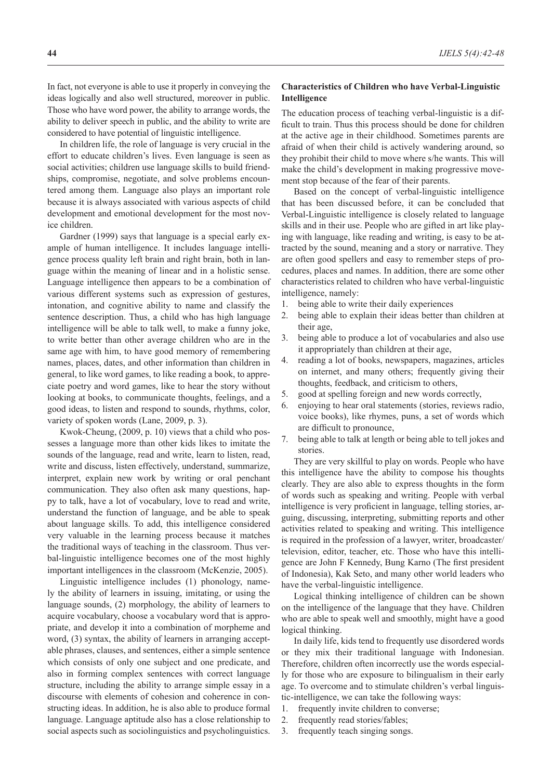In fact, not everyone is able to use it properly in conveying the ideas logically and also well structured, moreover in public. Those who have word power, the ability to arrange words, the ability to deliver speech in public, and the ability to write are considered to have potential of linguistic intelligence.

In children life, the role of language is very crucial in the effort to educate children's lives. Even language is seen as social activities; children use language skills to build friendships, compromise, negotiate, and solve problems encountered among them. Language also plays an important role because it is always associated with various aspects of child development and emotional development for the most novice children.

Gardner (1999) says that language is a special early example of human intelligence. It includes language intelligence process quality left brain and right brain, both in language within the meaning of linear and in a holistic sense. Language intelligence then appears to be a combination of various different systems such as expression of gestures, intonation, and cognitive ability to name and classify the sentence description. Thus, a child who has high language intelligence will be able to talk well, to make a funny joke, to write better than other average children who are in the same age with him, to have good memory of remembering names, places, dates, and other information than children in general, to like word games, to like reading a book, to appreciate poetry and word games, like to hear the story without looking at books, to communicate thoughts, feelings, and a good ideas, to listen and respond to sounds, rhythms, color, variety of spoken words (Lane, 2009, p. 3).

Kwok-Cheung, (2009, p. 10) views that a child who possesses a language more than other kids likes to imitate the sounds of the language, read and write, learn to listen, read, write and discuss, listen effectively, understand, summarize, interpret, explain new work by writing or oral penchant communication. They also often ask many questions, happy to talk, have a lot of vocabulary, love to read and write, understand the function of language, and be able to speak about language skills. To add, this intelligence considered very valuable in the learning process because it matches the traditional ways of teaching in the classroom. Thus verbal-linguistic intelligence becomes one of the most highly important intelligences in the classroom (McKenzie, 2005).

Linguistic intelligence includes (1) phonology, namely the ability of learners in issuing, imitating, or using the language sounds, (2) morphology, the ability of learners to acquire vocabulary, choose a vocabulary word that is appropriate, and develop it into a combination of morpheme and word, (3) syntax, the ability of learners in arranging acceptable phrases, clauses, and sentences, either a simple sentence which consists of only one subject and one predicate, and also in forming complex sentences with correct language structure, including the ability to arrange simple essay in a discourse with elements of cohesion and coherence in constructing ideas. In addition, he is also able to produce formal language. Language aptitude also has a close relationship to social aspects such as sociolinguistics and psycholinguistics.

### **Characteristics of Children who have Verbal-Linguistic Intelligence**

The education process of teaching verbal-linguistic is a difficult to train. Thus this process should be done for children at the active age in their childhood. Sometimes parents are afraid of when their child is actively wandering around, so they prohibit their child to move where s/he wants. This will make the child's development in making progressive movement stop because of the fear of their parents.

Based on the concept of verbal-linguistic intelligence that has been discussed before, it can be concluded that Verbal-Linguistic intelligence is closely related to language skills and in their use. People who are gifted in art like playing with language, like reading and writing, is easy to be attracted by the sound, meaning and a story or narrative. They are often good spellers and easy to remember steps of procedures, places and names. In addition, there are some other characteristics related to children who have verbal-linguistic intelligence, namely:

- 1. being able to write their daily experiences
- 2. being able to explain their ideas better than children at their age,
- 3. being able to produce a lot of vocabularies and also use it appropriately than children at their age,
- 4. reading a lot of books, newspapers, magazines, articles on internet, and many others; frequently giving their thoughts, feedback, and criticism to others,
- 5. good at spelling foreign and new words correctly,
- 6. enjoying to hear oral statements (stories, reviews radio, voice books), like rhymes, puns, a set of words which are difficult to pronounce,
- 7. being able to talk at length or being able to tell jokes and stories.

They are very skillful to play on words. People who have this intelligence have the ability to compose his thoughts clearly. They are also able to express thoughts in the form of words such as speaking and writing. People with verbal intelligence is very proficient in language, telling stories, arguing, discussing, interpreting, submitting reports and other activities related to speaking and writing. This intelligence is required in the profession of a lawyer, writer, broadcaster/ television, editor, teacher, etc. Those who have this intelligence are John F Kennedy, Bung Karno (The first president of Indonesia), Kak Seto, and many other world leaders who have the verbal-linguistic intelligence.

Logical thinking intelligence of children can be shown on the intelligence of the language that they have. Children who are able to speak well and smoothly, might have a good logical thinking.

In daily life, kids tend to frequently use disordered words or they mix their traditional language with Indonesian. Therefore, children often incorrectly use the words especially for those who are exposure to bilingualism in their early age. To overcome and to stimulate children's verbal linguistic-intelligence, we can take the following ways:

- 1. frequently invite children to converse;
- 2. frequently read stories/fables;
- 3. frequently teach singing songs.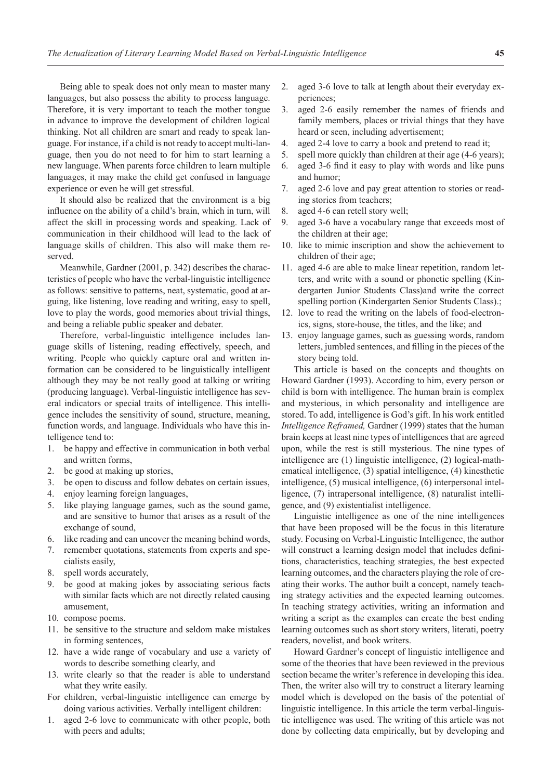Being able to speak does not only mean to master many languages, but also possess the ability to process language. Therefore, it is very important to teach the mother tongue in advance to improve the development of children logical thinking. Not all children are smart and ready to speak language. For instance, if a child is not ready to accept multi-language, then you do not need to for him to start learning a new language. When parents force children to learn multiple languages, it may make the child get confused in language experience or even he will get stressful.

It should also be realized that the environment is a big influence on the ability of a child's brain, which in turn, will affect the skill in processing words and speaking. Lack of communication in their childhood will lead to the lack of language skills of children. This also will make them reserved.

Meanwhile, Gardner (2001, p. 342) describes the characteristics of people who have the verbal-linguistic intelligence as follows: sensitive to patterns, neat, systematic, good at arguing, like listening, love reading and writing, easy to spell, love to play the words, good memories about trivial things, and being a reliable public speaker and debater.

Therefore, verbal-linguistic intelligence includes language skills of listening, reading effectively, speech, and writing. People who quickly capture oral and written information can be considered to be linguistically intelligent although they may be not really good at talking or writing (producing language). Verbal-linguistic intelligence has several indicators or special traits of intelligence. This intelligence includes the sensitivity of sound, structure, meaning, function words, and language. Individuals who have this intelligence tend to:

- 1. be happy and effective in communication in both verbal and written forms,
- 2. be good at making up stories,
- 3. be open to discuss and follow debates on certain issues,
- 4. enjoy learning foreign languages,
- 5. like playing language games, such as the sound game, and are sensitive to humor that arises as a result of the exchange of sound,
- 6. like reading and can uncover the meaning behind words,
- 7. remember quotations, statements from experts and specialists easily,
- 8. spell words accurately,
- 9. be good at making jokes by associating serious facts with similar facts which are not directly related causing amusement,
- 10. compose poems.
- 11. be sensitive to the structure and seldom make mistakes in forming sentences,
- 12. have a wide range of vocabulary and use a variety of words to describe something clearly, and
- 13. write clearly so that the reader is able to understand what they write easily.
- For children, verbal-linguistic intelligence can emerge by doing various activities. Verbally intelligent children:
- 1. aged 2-6 love to communicate with other people, both with peers and adults;
- 2. aged 3-6 love to talk at length about their everyday experiences;
- 3. aged 2-6 easily remember the names of friends and family members, places or trivial things that they have heard or seen, including advertisement;
- 4. aged 2-4 love to carry a book and pretend to read it;
- 5. spell more quickly than children at their age (4-6 years);
- 6. aged 3-6 find it easy to play with words and like puns and humor;
- 7. aged 2-6 love and pay great attention to stories or reading stories from teachers;
- 8. aged 4-6 can retell story well;
- 9. aged 3-6 have a vocabulary range that exceeds most of the children at their age;
- 10. like to mimic inscription and show the achievement to children of their age;
- 11. aged 4-6 are able to make linear repetition, random letters, and write with a sound or phonetic spelling (Kindergarten Junior Students Class)and write the correct spelling portion (Kindergarten Senior Students Class).;
- 12. love to read the writing on the labels of food-electronics, signs, store-house, the titles, and the like; and
- 13. enjoy language games, such as guessing words, random letters, jumbled sentences, and filling in the pieces of the story being told.

This article is based on the concepts and thoughts on Howard Gardner (1993). According to him, every person or child is born with intelligence. The human brain is complex and mysterious, in which personality and intelligence are stored. To add, intelligence is God's gift. In his work entitled *Intelligence Reframed,* Gardner (1999) states that the human brain keeps at least nine types of intelligences that are agreed upon, while the rest is still mysterious. The nine types of intelligence are (1) linguistic intelligence, (2) logical-mathematical intelligence, (3) spatial intelligence, (4) kinesthetic intelligence, (5) musical intelligence, (6) interpersonal intelligence, (7) intrapersonal intelligence, (8) naturalist intelligence, and (9) existentialist intelligence.

Linguistic intelligence as one of the nine intelligences that have been proposed will be the focus in this literature study. Focusing on Verbal-Linguistic Intelligence, the author will construct a learning design model that includes definitions, characteristics, teaching strategies, the best expected learning outcomes, and the characters playing the role of creating their works. The author built a concept, namely teaching strategy activities and the expected learning outcomes. In teaching strategy activities, writing an information and writing a script as the examples can create the best ending learning outcomes such as short story writers, literati, poetry readers, novelist, and book writers.

Howard Gardner's concept of linguistic intelligence and some of the theories that have been reviewed in the previous section became the writer's reference in developing this idea. Then, the writer also will try to construct a literary learning model which is developed on the basis of the potential of linguistic intelligence. In this article the term verbal-linguistic intelligence was used. The writing of this article was not done by collecting data empirically, but by developing and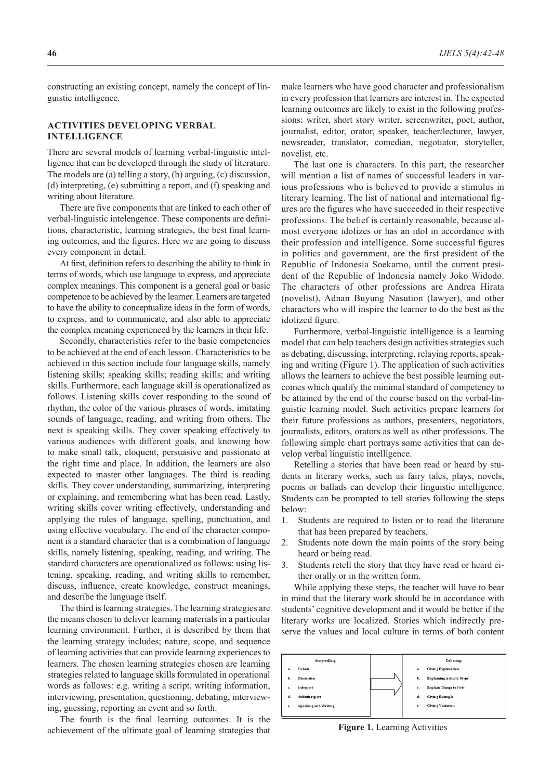constructing an existing concept, namely the concept of linguistic intelligence.

## **ACTIVITIES DEVELOPING VERBAL INTELLIGENCE**

There are several models of learning verbal-linguistic intelligence that can be developed through the study of literature. The models are (a) telling a story, (b) arguing, (c) discussion, (d) interpreting, (e) submitting a report, and (f) speaking and writing about literature.

There are five components that are linked to each other of verbal-linguistic intelengence. These components are definitions, characteristic, learning strategies, the best final learning outcomes, and the figures. Here we are going to discuss every component in detail.

At first, definition refers to describing the ability to think in terms of words, which use language to express, and appreciate complex meanings. This component is a general goal or basic competence to be achieved by the learner. Learners are targeted to have the ability to conceptualize ideas in the form of words, to express, and to communicate, and also able to appreciate the complex meaning experienced by the learners in their life.

Secondly, characteristics refer to the basic competencies to be achieved at the end of each lesson. Characteristics to be achieved in this section include four language skills, namely listening skills; speaking skills; reading skills; and writing skills. Furthermore, each language skill is operationalized as follows. Listening skills cover responding to the sound of rhythm, the color of the various phrases of words, imitating sounds of language, reading, and writing from others. The next is speaking skills. They cover speaking effectively to various audiences with different goals, and knowing how to make small talk, eloquent, persuasive and passionate at the right time and place. In addition, the learners are also expected to master other languages. The third is reading skills. They cover understanding, summarizing, interpreting or explaining, and remembering what has been read. Lastly, writing skills cover writing effectively, understanding and applying the rules of language, spelling, punctuation, and using effective vocabulary. The end of the character component is a standard character that is a combination of language skills, namely listening, speaking, reading, and writing. The standard characters are operationalized as follows: using listening, speaking, reading, and writing skills to remember, discuss, influence, create knowledge, construct meanings, and describe the language itself.

The third is learning strategies. The learning strategies are the means chosen to deliver learning materials in a particular learning environment. Further, it is described by them that the learning strategy includes; nature, scope, and sequence of learning activities that can provide learning experiences to learners. The chosen learning strategies chosen are learning strategies related to language skills formulated in operational words as follows: e.g. writing a script, writing information, interviewing, presentation, questioning, debating, interviewing, guessing, reporting an event and so forth.

The fourth is the final learning outcomes. It is the achievement of the ultimate goal of learning strategies that make learners who have good character and professionalism in every profession that learners are interest in. The expected learning outcomes are likely to exist in the following professions: writer, short story writer, screenwriter, poet, author, journalist, editor, orator, speaker, teacher/lecturer, lawyer, newsreader, translator, comedian, negotiator, storyteller, novelist, etc.

The last one is characters. In this part, the researcher will mention a list of names of successful leaders in various professions who is believed to provide a stimulus in literary learning. The list of national and international figures are the figures who have succeeded in their respective professions. The belief is certainly reasonable, because almost everyone idolizes or has an idol in accordance with their profession and intelligence. Some successful figures in politics and government, are the first president of the Republic of Indonesia Soekarno, until the current president of the Republic of Indonesia namely Joko Widodo. The characters of other professions are Andrea Hirata (novelist), Adnan Buyung Nasution (lawyer), and other characters who will inspire the learner to do the best as the idolized figure.

Furthermore, verbal-linguistic intelligence is a learning model that can help teachers design activities strategies such as debating, discussing, interpreting, relaying reports, speaking and writing (Figure 1). The application of such activities allows the learners to achieve the best possible learning outcomes which qualify the minimal standard of competency to be attained by the end of the course based on the verbal-linguistic learning model. Such activities prepare learners for their future professions as authors, presenters, negotiators, journalists, editors, orators as well as other professions. The following simple chart portrays some activities that can develop verbal linguistic intelligence.

Retelling a stories that have been read or heard by students in literary works, such as fairy tales, plays, novels, poems or ballads can develop their linguistic intelligence. Students can be prompted to tell stories following the steps below:

- 1. Students are required to listen or to read the literature that has been prepared by teachers.
- 2. Students note down the main points of the story being heard or being read.
- 3. Students retell the story that they have read or heard either orally or in the written form.

While applying these steps, the teacher will have to bear in mind that the literary work should be in accordance with students' cognitive development and it would be better if the literary works are localized. Stories which indirectly preserve the values and local culture in terms of both content



**Figure 1.** Learning Activities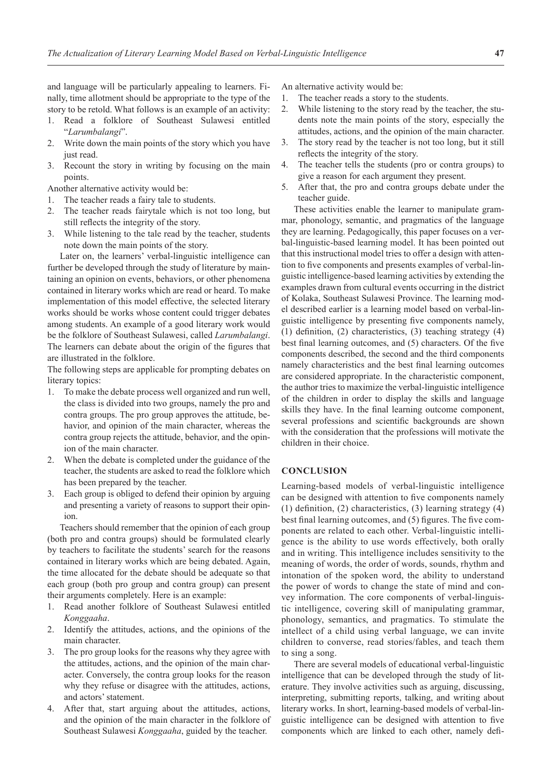and language will be particularly appealing to learners. Finally, time allotment should be appropriate to the type of the story to be retold. What follows is an example of an activity:

- 1. Read a folklore of Southeast Sulawesi entitled "*Larumbalangi*".
- 2. Write down the main points of the story which you have just read.
- 3. Recount the story in writing by focusing on the main points.

Another alternative activity would be:

- 1. The teacher reads a fairy tale to students.
- 2. The teacher reads fairytale which is not too long, but still reflects the integrity of the story.
- 3. While listening to the tale read by the teacher, students note down the main points of the story.

Later on, the learners' verbal-linguistic intelligence can further be developed through the study of literature by maintaining an opinion on events, behaviors, or other phenomena contained in literary works which are read or heard. To make implementation of this model effective, the selected literary works should be works whose content could trigger debates among students. An example of a good literary work would be the folklore of Southeast Sulawesi, called *Larumbalangi*. The learners can debate about the origin of the figures that are illustrated in the folklore.

The following steps are applicable for prompting debates on literary topics:

- 1. To make the debate process well organized and run well, the class is divided into two groups, namely the pro and contra groups. The pro group approves the attitude, behavior, and opinion of the main character, whereas the contra group rejects the attitude, behavior, and the opinion of the main character.
- 2. When the debate is completed under the guidance of the teacher, the students are asked to read the folklore which has been prepared by the teacher.
- Each group is obliged to defend their opinion by arguing and presenting a variety of reasons to support their opinion.

Teachers should remember that the opinion of each group (both pro and contra groups) should be formulated clearly by teachers to facilitate the students' search for the reasons contained in literary works which are being debated. Again, the time allocated for the debate should be adequate so that each group (both pro group and contra group) can present their arguments completely. Here is an example:

- 1. Read another folklore of Southeast Sulawesi entitled *Konggaaha*.
- 2. Identify the attitudes, actions, and the opinions of the main character.
- 3. The pro group looks for the reasons why they agree with the attitudes, actions, and the opinion of the main character. Conversely, the contra group looks for the reason why they refuse or disagree with the attitudes, actions, and actors' statement.
- 4. After that, start arguing about the attitudes, actions, and the opinion of the main character in the folklore of Southeast Sulawesi *Konggaaha*, guided by the teacher.

An alternative activity would be:

- 1. The teacher reads a story to the students.
- 2. While listening to the story read by the teacher, the students note the main points of the story, especially the attitudes, actions, and the opinion of the main character.
- 3. The story read by the teacher is not too long, but it still reflects the integrity of the story.
- 4. The teacher tells the students (pro or contra groups) to give a reason for each argument they present.
- 5. After that, the pro and contra groups debate under the teacher guide.

These activities enable the learner to manipulate grammar, phonology, semantic, and pragmatics of the language they are learning. Pedagogically, this paper focuses on a verbal-linguistic-based learning model. It has been pointed out that this instructional model tries to offer a design with attention to five components and presents examples of verbal-linguistic intelligence-based learning activities by extending the examples drawn from cultural events occurring in the district of Kolaka, Southeast Sulawesi Province. The learning model described earlier is a learning model based on verbal-linguistic intelligence by presenting five components namely, (1) definition, (2) characteristics, (3) teaching strategy (4) best final learning outcomes, and (5) characters. Of the five components described, the second and the third components namely characteristics and the best final learning outcomes are considered appropriate. In the characteristic component, the author tries to maximize the verbal-linguistic intelligence of the children in order to display the skills and language skills they have. In the final learning outcome component, several professions and scientific backgrounds are shown with the consideration that the professions will motivate the children in their choice.

## **CONCLUSION**

Learning-based models of verbal-linguistic intelligence can be designed with attention to five components namely (1) definition, (2) characteristics, (3) learning strategy (4) best final learning outcomes, and (5) figures. The five components are related to each other. Verbal-linguistic intelligence is the ability to use words effectively, both orally and in writing. This intelligence includes sensitivity to the meaning of words, the order of words, sounds, rhythm and intonation of the spoken word, the ability to understand the power of words to change the state of mind and convey information. The core components of verbal-linguistic intelligence, covering skill of manipulating grammar, phonology, semantics, and pragmatics. To stimulate the intellect of a child using verbal language, we can invite children to converse, read stories/fables, and teach them to sing a song.

There are several models of educational verbal-linguistic intelligence that can be developed through the study of literature. They involve activities such as arguing, discussing, interpreting, submitting reports, talking, and writing about literary works. In short, learning-based models of verbal-linguistic intelligence can be designed with attention to five components which are linked to each other, namely defi